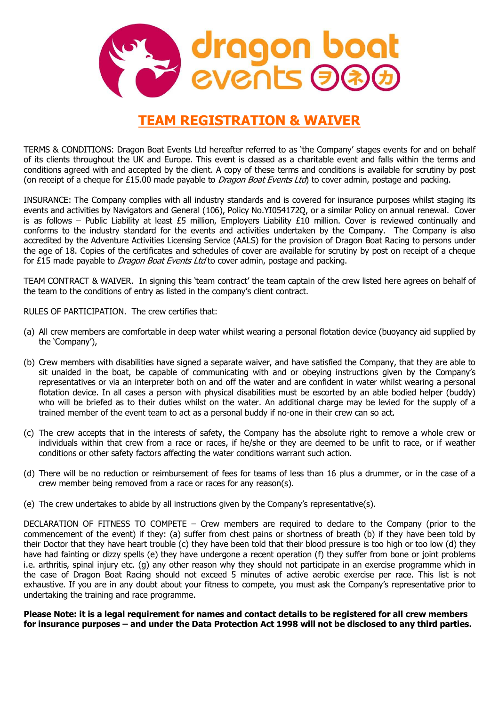

## TEAM REGISTRATION & WAIVER

TERMS & CONDITIONS: Dragon Boat Events Ltd hereafter referred to as 'the Company' stages events for and on behalf of its clients throughout the UK and Europe. This event is classed as a charitable event and falls within the terms and conditions agreed with and accepted by the client. A copy of these terms and conditions is available for scrutiny by post (on receipt of a cheque for £15.00 made payable to *Dragon Boat Events Ltd*) to cover admin, postage and packing.

INSURANCE: The Company complies with all industry standards and is covered for insurance purposes whilst staging its events and activities by Navigators and General (106), Policy No.YI054172Q, or a similar Policy on annual renewal. Cover is as follows – Public Liability at least £5 million, Employers Liability £10 million. Cover is reviewed continually and conforms to the industry standard for the events and activities undertaken by the Company. The Company is also accredited by the Adventure Activities Licensing Service (AALS) for the provision of Dragon Boat Racing to persons under the age of 18. Copies of the certificates and schedules of cover are available for scrutiny by post on receipt of a cheque for £15 made payable to *Dragon Boat Events Ltd* to cover admin, postage and packing.

TEAM CONTRACT & WAIVER. In signing this 'team contract' the team captain of the crew listed here agrees on behalf of the team to the conditions of entry as listed in the company's client contract.

RULES OF PARTICIPATION. The crew certifies that:

- (a) All crew members are comfortable in deep water whilst wearing a personal flotation device (buoyancy aid supplied by the 'Company'),
- (b) Crew members with disabilities have signed a separate waiver, and have satisfied the Company, that they are able to sit unaided in the boat, be capable of communicating with and or obeying instructions given by the Company's representatives or via an interpreter both on and off the water and are confident in water whilst wearing a personal flotation device. In all cases a person with physical disabilities must be escorted by an able bodied helper (buddy) who will be briefed as to their duties whilst on the water. An additional charge may be levied for the supply of a trained member of the event team to act as a personal buddy if no-one in their crew can so act.
- (c) The crew accepts that in the interests of safety, the Company has the absolute right to remove a whole crew or individuals within that crew from a race or races, if he/she or they are deemed to be unfit to race, or if weather conditions or other safety factors affecting the water conditions warrant such action.
- (d) There will be no reduction or reimbursement of fees for teams of less than 16 plus a drummer, or in the case of a crew member being removed from a race or races for any reason(s).
- (e) The crew undertakes to abide by all instructions given by the Company's representative(s).

DECLARATION OF FITNESS TO COMPETE – Crew members are required to declare to the Company (prior to the commencement of the event) if they: (a) suffer from chest pains or shortness of breath (b) if they have been told by their Doctor that they have heart trouble (c) they have been told that their blood pressure is too high or too low (d) they have had fainting or dizzy spells (e) they have undergone a recent operation (f) they suffer from bone or joint problems i.e. arthritis, spinal injury etc. (g) any other reason why they should not participate in an exercise programme which in the case of Dragon Boat Racing should not exceed 5 minutes of active aerobic exercise per race. This list is not exhaustive. If you are in any doubt about your fitness to compete, you must ask the Company's representative prior to undertaking the training and race programme.

Please Note: it is a legal requirement for names and contact details to be registered for all crew members for insurance purposes – and under the Data Protection Act 1998 will not be disclosed to any third parties.